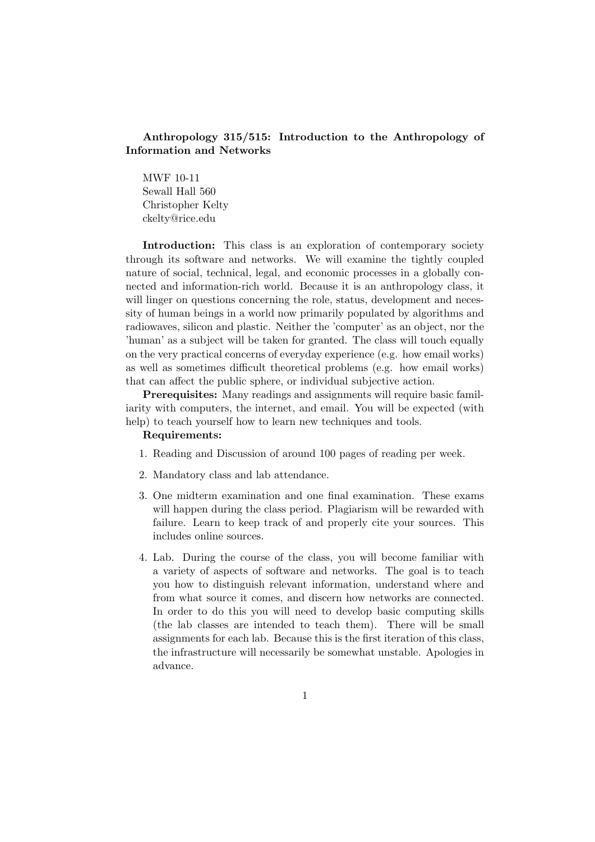## Anthropology 315/515: Introduction to the Anthropology of Information and Networks

MWF 10-11 Sewall Hall 560 Christopher Kelty ckelty@rice.edu

Introduction: This class is an exploration of contemporary society through its software and networks. We will examine the tightly coupled nature of social, technical, legal, and economic processes in a globally connected and information-rich world. Because it is an anthropology class, it will linger on questions concerning the role, status, development and necessity of human beings in a world now primarily populated by algorithms and radiowaves, silicon and plastic. Neither the 'computer' as an object, nor the 'human' as a subject will be taken for granted. The class will touch equally on the very practical concerns of everyday experience (e.g. how email works) as well as sometimes difficult theoretical problems (e.g. how email works) that can affect the public sphere, or individual subjective action.

Prerequisites: Many readings and assignments will require basic familiarity with computers, the internet, and email. You will be expected (with help) to teach yourself how to learn new techniques and tools.

#### Requirements:

- 1. Reading and Discussion of around 100 pages of reading per week.
- 2. Mandatory class and lab attendance.
- 3. One midterm examination and one final examination. These exams will happen during the class period. Plagiarism will be rewarded with failure. Learn to keep track of and properly cite your sources. This includes online sources.
- 4. Lab. During the course of the class, you will become familiar with a variety of aspects of software and networks. The goal is to teach you how to distinguish relevant information, understand where and from what source it comes, and discern how networks are connected. In order to do this you will need to develop basic computing skills (the lab classes are intended to teach them). There will be small assignments for each lab. Because this is the first iteration of this class, the infrastructure will necessarily be somewhat unstable. Apologies in advance.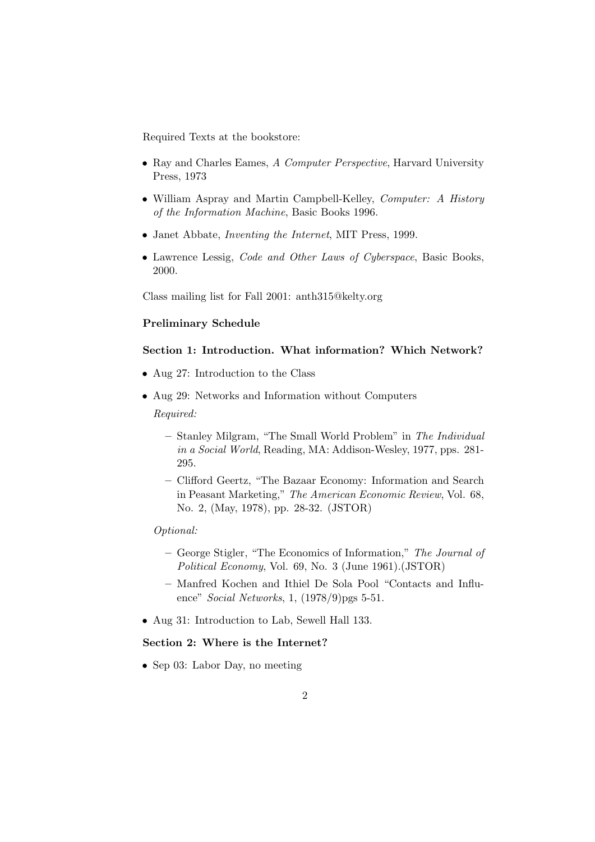Required Texts at the bookstore:

- Ray and Charles Eames, A Computer Perspective, Harvard University Press, 1973
- William Aspray and Martin Campbell-Kelley, *Computer: A History* of the Information Machine, Basic Books 1996.
- Janet Abbate, Inventing the Internet, MIT Press, 1999.
- Lawrence Lessig, Code and Other Laws of Cyberspace, Basic Books, 2000.

Class mailing list for Fall 2001: anth315@kelty.org

## Preliminary Schedule

### Section 1: Introduction. What information? Which Network?

- Aug 27: Introduction to the Class
- Aug 29: Networks and Information without Computers

Required:

- Stanley Milgram, "The Small World Problem" in The Individual in a Social World, Reading, MA: Addison-Wesley, 1977, pps. 281- 295.
- Clifford Geertz, "The Bazaar Economy: Information and Search in Peasant Marketing," The American Economic Review, Vol. 68, No. 2, (May, 1978), pp. 28-32. (JSTOR)

### Optional:

- George Stigler, "The Economics of Information," The Journal of Political Economy, Vol. 69, No. 3 (June 1961).(JSTOR)
- Manfred Kochen and Ithiel De Sola Pool "Contacts and Influence" Social Networks, 1, (1978/9)pgs 5-51.
- Aug 31: Introduction to Lab, Sewell Hall 133.

#### Section 2: Where is the Internet?

• Sep 03: Labor Day, no meeting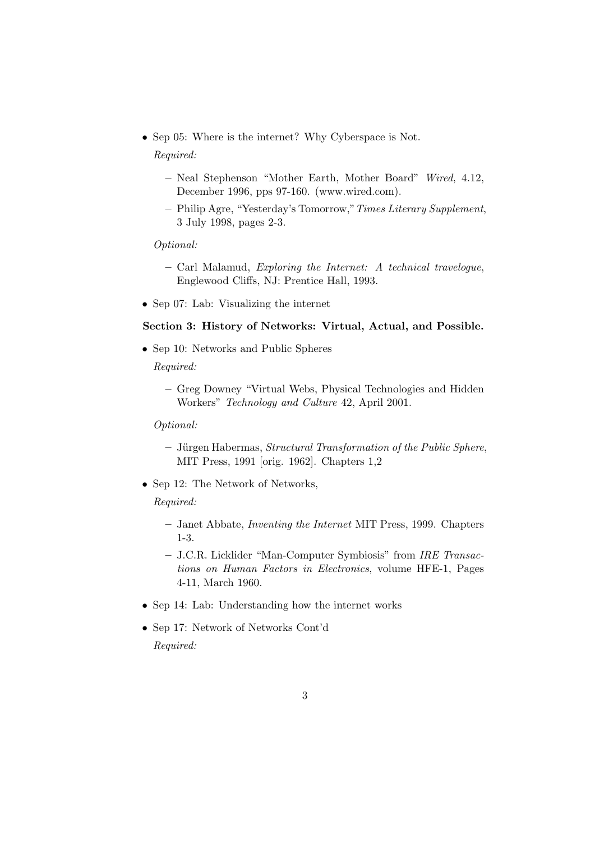• Sep 05: Where is the internet? Why Cyberspace is Not.

#### Required:

- Neal Stephenson "Mother Earth, Mother Board" Wired, 4.12, December 1996, pps 97-160. (www.wired.com).
- Philip Agre, "Yesterday's Tomorrow,"Times Literary Supplement, 3 July 1998, pages 2-3.

#### Optional:

- Carl Malamud, Exploring the Internet: A technical travelogue, Englewood Cliffs, NJ: Prentice Hall, 1993.
- Sep 07: Lab: Visualizing the internet

## Section 3: History of Networks: Virtual, Actual, and Possible.

- Sep 10: Networks and Public Spheres
	- Required:
		- Greg Downey "Virtual Webs, Physical Technologies and Hidden Workers" Technology and Culture 42, April 2001.

Optional:

- $-$  Jürgen Habermas, *Structural Transformation of the Public Sphere*, MIT Press, 1991 [orig. 1962]. Chapters 1,2
- Sep 12: The Network of Networks,

- Janet Abbate, Inventing the Internet MIT Press, 1999. Chapters 1-3.
- J.C.R. Licklider "Man-Computer Symbiosis" from IRE Transactions on Human Factors in Electronics, volume HFE-1, Pages 4-11, March 1960.
- Sep 14: Lab: Understanding how the internet works
- Sep 17: Network of Networks Cont'd Required: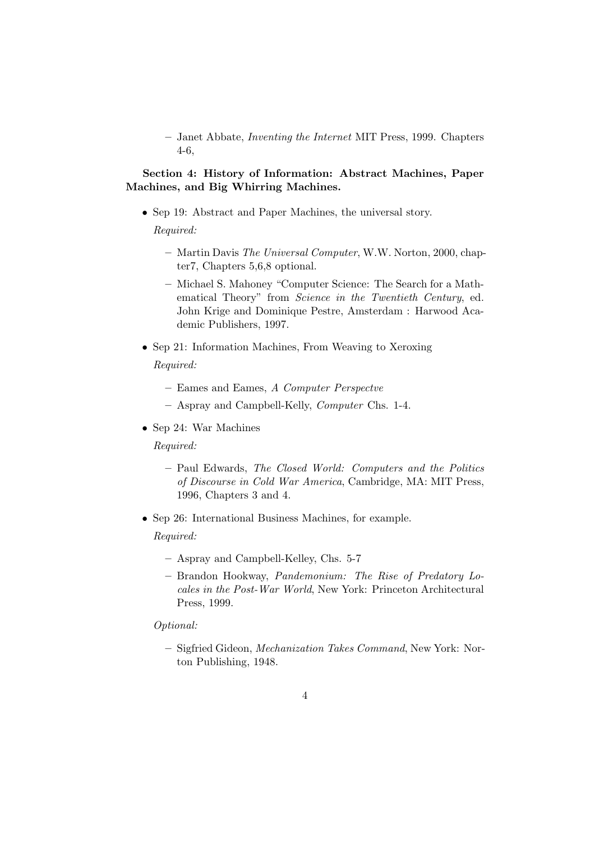– Janet Abbate, Inventing the Internet MIT Press, 1999. Chapters 4-6,

# Section 4: History of Information: Abstract Machines, Paper Machines, and Big Whirring Machines.

- Sep 19: Abstract and Paper Machines, the universal story. Required:
	- Martin Davis The Universal Computer, W.W. Norton, 2000, chapter7, Chapters 5,6,8 optional.
	- Michael S. Mahoney "Computer Science: The Search for a Mathematical Theory" from Science in the Twentieth Century, ed. John Krige and Dominique Pestre, Amsterdam : Harwood Academic Publishers, 1997.
- Sep 21: Information Machines, From Weaving to Xeroxing Required:
	- Eames and Eames, A Computer Perspectve
	- Aspray and Campbell-Kelly, Computer Chs. 1-4.
- Sep 24: War Machines

Required:

- Paul Edwards, The Closed World: Computers and the Politics of Discourse in Cold War America, Cambridge, MA: MIT Press, 1996, Chapters 3 and 4.
- Sep 26: International Business Machines, for example.

Required:

- Aspray and Campbell-Kelley, Chs. 5-7
- Brandon Hookway, Pandemonium: The Rise of Predatory Locales in the Post-War World, New York: Princeton Architectural Press, 1999.

#### Optional:

– Sigfried Gideon, Mechanization Takes Command, New York: Norton Publishing, 1948.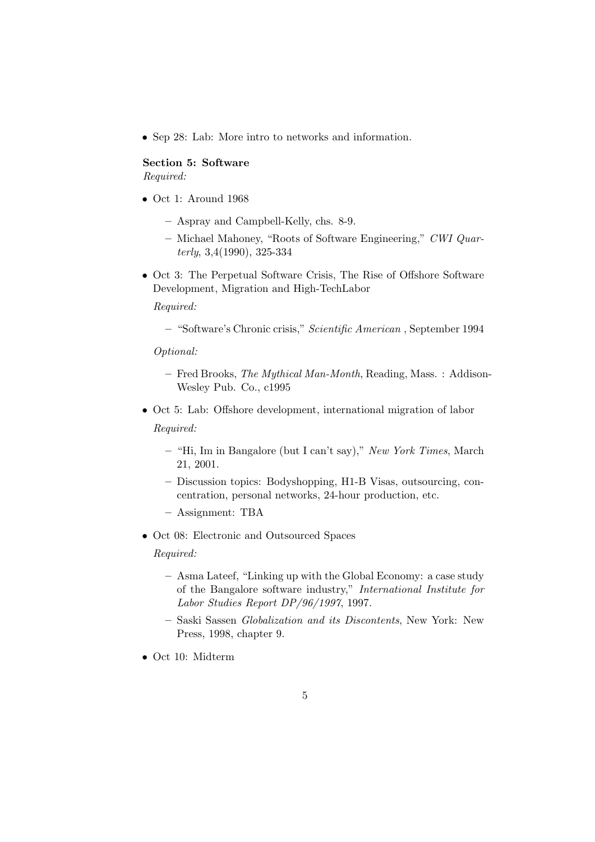• Sep 28: Lab: More intro to networks and information.

### Section 5: Software Required:

- Oct 1: Around 1968
	- Aspray and Campbell-Kelly, chs. 8-9.
	- Michael Mahoney, "Roots of Software Engineering," CWI Quarterly, 3,4(1990), 325-334
- Oct 3: The Perpetual Software Crisis, The Rise of Offshore Software Development, Migration and High-TechLabor

Required:

– "Software's Chronic crisis," Scientific American , September 1994

#### Optional:

- Fred Brooks, The Mythical Man-Month, Reading, Mass. : Addison-Wesley Pub. Co., c1995
- Oct 5: Lab: Offshore development, international migration of labor Required:
	- "Hi, Im in Bangalore (but I can't say)," New York Times, March 21, 2001.
	- Discussion topics: Bodyshopping, H1-B Visas, outsourcing, concentration, personal networks, 24-hour production, etc.
	- Assignment: TBA
- Oct 08: Electronic and Outsourced Spaces

- Asma Lateef, "Linking up with the Global Economy: a case study of the Bangalore software industry," International Institute for Labor Studies Report DP/96/1997, 1997.
- Saski Sassen Globalization and its Discontents, New York: New Press, 1998, chapter 9.
- Oct 10: Midterm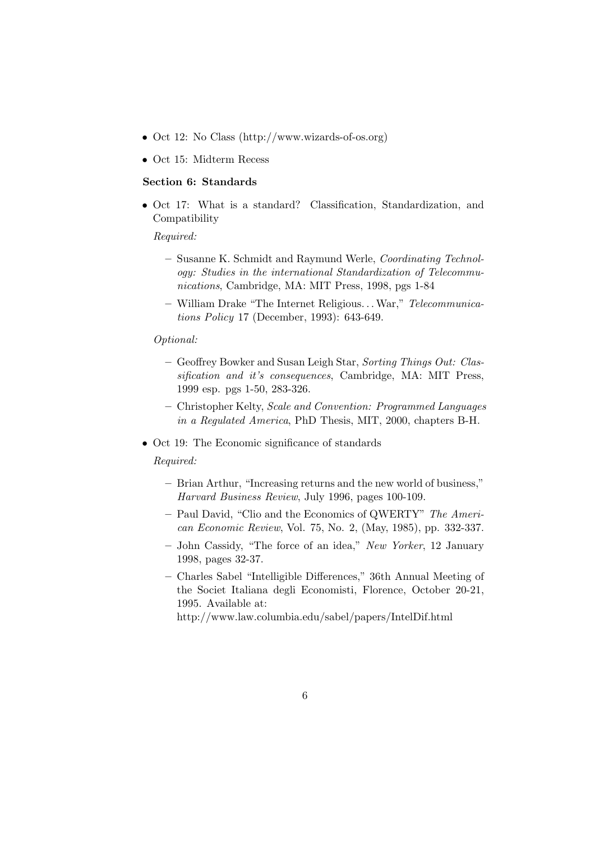- Oct 12: No Class (http://www.wizards-of-os.org)
- Oct 15: Midterm Recess

### Section 6: Standards

• Oct 17: What is a standard? Classification, Standardization, and Compatibility

### Required:

- Susanne K. Schmidt and Raymund Werle, Coordinating Technology: Studies in the international Standardization of Telecommunications, Cambridge, MA: MIT Press, 1998, pgs 1-84
- William Drake "The Internet Religious. . .War," Telecommunications Policy 17 (December, 1993): 643-649.

#### Optional:

- Geoffrey Bowker and Susan Leigh Star, Sorting Things Out: Classification and it's consequences, Cambridge, MA: MIT Press, 1999 esp. pgs 1-50, 283-326.
- Christopher Kelty, Scale and Convention: Programmed Languages in a Regulated America, PhD Thesis, MIT, 2000, chapters B-H.
- Oct 19: The Economic significance of standards

Required:

- Brian Arthur, "Increasing returns and the new world of business," Harvard Business Review, July 1996, pages 100-109.
- Paul David, "Clio and the Economics of QWERTY" The American Economic Review, Vol. 75, No. 2, (May, 1985), pp. 332-337.
- John Cassidy, "The force of an idea," New Yorker, 12 January 1998, pages 32-37.
- Charles Sabel "Intelligible Differences," 36th Annual Meeting of the Societ Italiana degli Economisti, Florence, October 20-21, 1995. Available at:

http://www.law.columbia.edu/sabel/papers/IntelDif.html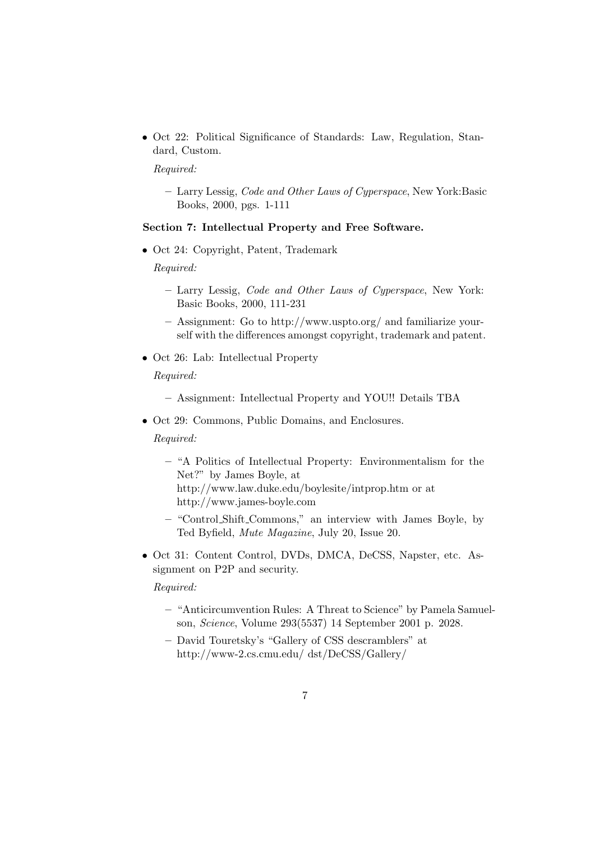• Oct 22: Political Significance of Standards: Law, Regulation, Standard, Custom.

Required:

– Larry Lessig, Code and Other Laws of Cyperspace, New York:Basic Books, 2000, pgs. 1-111

### Section 7: Intellectual Property and Free Software.

• Oct 24: Copyright, Patent, Trademark

Required:

- Larry Lessig, Code and Other Laws of Cyperspace, New York: Basic Books, 2000, 111-231
- Assignment: Go to http://www.uspto.org/ and familiarize yourself with the differences amongst copyright, trademark and patent.
- Oct 26: Lab: Intellectual Property

Required:

- Assignment: Intellectual Property and YOU!! Details TBA
- Oct 29: Commons, Public Domains, and Enclosures.

Required:

- "A Politics of Intellectual Property: Environmentalism for the Net?" by James Boyle, at http://www.law.duke.edu/boylesite/intprop.htm or at http://www.james-boyle.com
- "Control Shift Commons," an interview with James Boyle, by Ted Byfield, Mute Magazine, July 20, Issue 20.
- Oct 31: Content Control, DVDs, DMCA, DeCSS, Napster, etc. Assignment on P2P and security.

- "Anticircumvention Rules: A Threat to Science" by Pamela Samuelson, Science, Volume 293(5537) 14 September 2001 p. 2028.
- David Touretsky's "Gallery of CSS descramblers" at http://www-2.cs.cmu.edu/ dst/DeCSS/Gallery/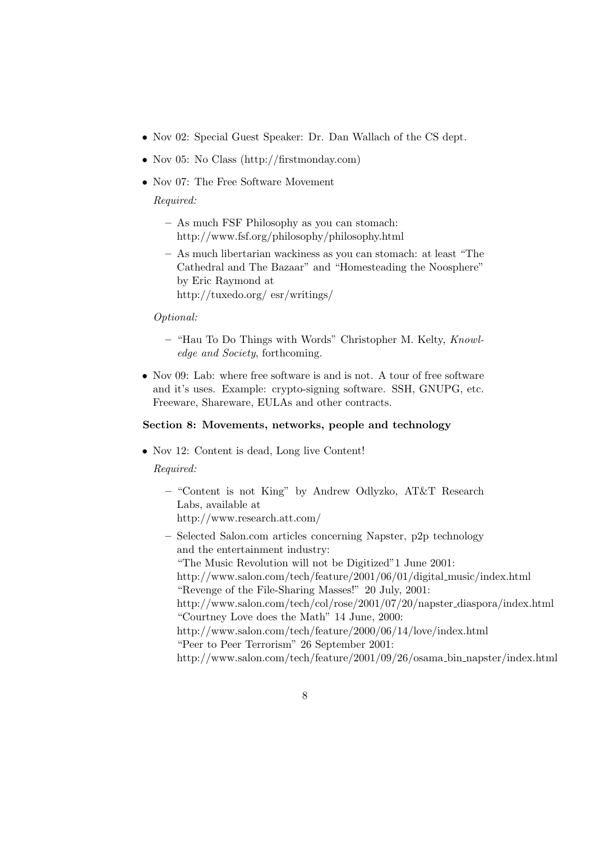- Nov 02: Special Guest Speaker: Dr. Dan Wallach of the CS dept.
- Nov 05: No Class (http://firstmonday.com)
- Nov 07: The Free Software Movement

Required:

- As much FSF Philosophy as you can stomach: http://www.fsf.org/philosophy/philosophy.html
- As much libertarian wackiness as you can stomach: at least "The Cathedral and The Bazaar" and "Homesteading the Noosphere" by Eric Raymond at http://tuxedo.org/ esr/writings/

### Optional:

- "Hau To Do Things with Words" Christopher M. Kelty, Knowledge and Society, forthcoming.
- Nov 09: Lab: where free software is and is not. A tour of free software and it's uses. Example: crypto-signing software. SSH, GNUPG, etc. Freeware, Shareware, EULAs and other contracts.

### Section 8: Movements, networks, people and technology

• Nov 12: Content is dead, Long live Content!

- "Content is not King" by Andrew Odlyzko, AT&T Research Labs, available at http://www.research.att.com/
- Selected Salon.com articles concerning Napster, p2p technology and the entertainment industry: "The Music Revolution will not be Digitized"1 June 2001: http://www.salon.com/tech/feature/2001/06/01/digital music/index.html "Revenge of the File-Sharing Masses!" 20 July, 2001: http://www.salon.com/tech/col/rose/2001/07/20/napster diaspora/index.html "Courtney Love does the Math" 14 June, 2000: http://www.salon.com/tech/feature/2000/06/14/love/index.html "Peer to Peer Terrorism" 26 September 2001: http://www.salon.com/tech/feature/2001/09/26/osama bin napster/index.html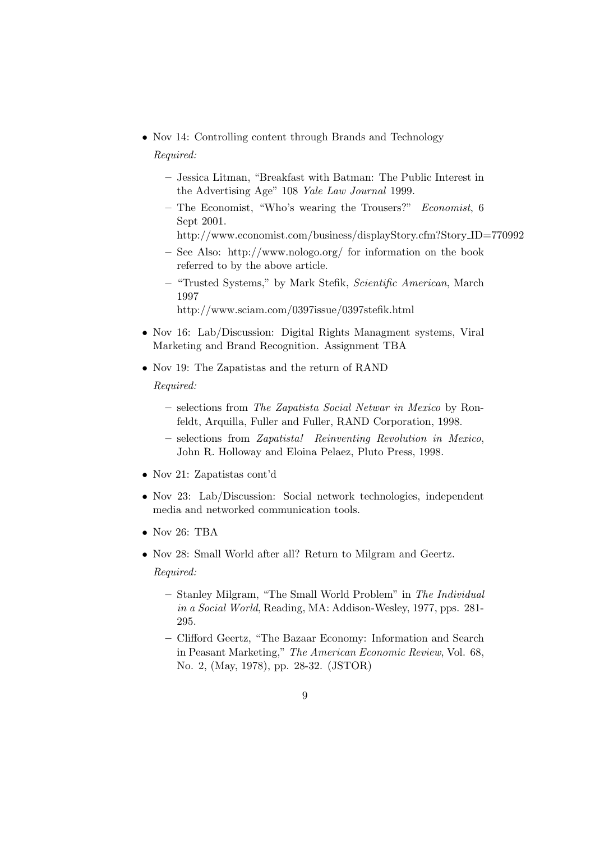- Nov 14: Controlling content through Brands and Technology Required:
	- Jessica Litman, "Breakfast with Batman: The Public Interest in the Advertising Age" 108 Yale Law Journal 1999.
	- The Economist, "Who's wearing the Trousers?" Economist, 6 Sept 2001.
		- http://www.economist.com/business/displayStory.cfm?Story ID=770992
	- See Also: http://www.nologo.org/ for information on the book referred to by the above article.
	- "Trusted Systems," by Mark Stefik, Scientific American, March 1997
		- http://www.sciam.com/0397issue/0397stefik.html
- Nov 16: Lab/Discussion: Digital Rights Managment systems, Viral Marketing and Brand Recognition. Assignment TBA
- Nov 19: The Zapatistas and the return of RAND Required:
	- selections from The Zapatista Social Netwar in Mexico by Ronfeldt, Arquilla, Fuller and Fuller, RAND Corporation, 1998.
	- selections from Zapatista! Reinventing Revolution in Mexico, John R. Holloway and Eloina Pelaez, Pluto Press, 1998.
- Nov 21: Zapatistas cont'd
- Nov 23: Lab/Discussion: Social network technologies, independent media and networked communication tools.
- Nov 26: TBA
- Nov 28: Small World after all? Return to Milgram and Geertz. Required:
	- Stanley Milgram, "The Small World Problem" in The Individual in a Social World, Reading, MA: Addison-Wesley, 1977, pps. 281- 295.
	- Clifford Geertz, "The Bazaar Economy: Information and Search in Peasant Marketing," The American Economic Review, Vol. 68, No. 2, (May, 1978), pp. 28-32. (JSTOR)